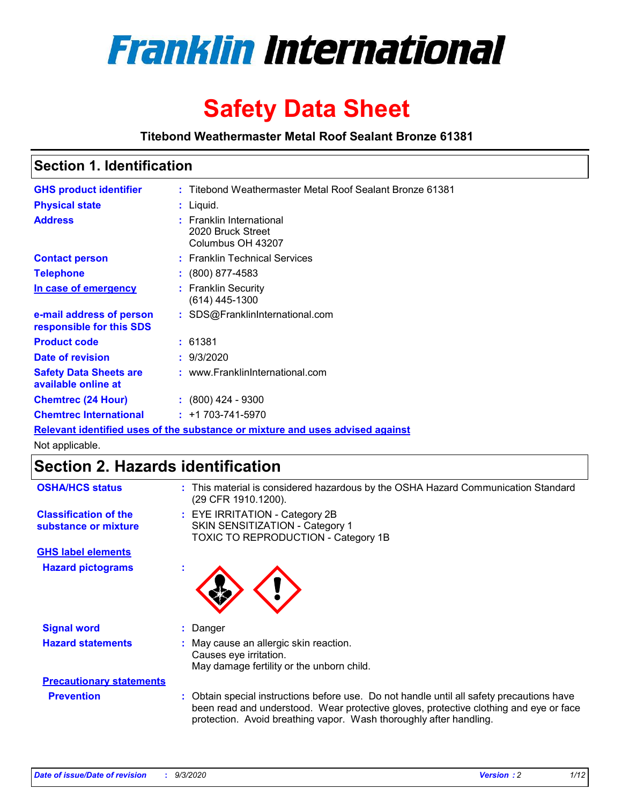

# **Safety Data Sheet**

**Titebond Weathermaster Metal Roof Sealant Bronze 61381**

### **Section 1. Identification**

| <b>GHS product identifier</b>                                                 |  | : Titebond Weathermaster Metal Roof Sealant Bronze 61381           |  |  |
|-------------------------------------------------------------------------------|--|--------------------------------------------------------------------|--|--|
| <b>Physical state</b>                                                         |  | : Liquid.                                                          |  |  |
| <b>Address</b>                                                                |  | : Franklin International<br>2020 Bruck Street<br>Columbus OH 43207 |  |  |
| <b>Contact person</b>                                                         |  | : Franklin Technical Services                                      |  |  |
| <b>Telephone</b>                                                              |  | $\colon$ (800) 877-4583                                            |  |  |
| In case of emergency                                                          |  | : Franklin Security<br>(614) 445-1300                              |  |  |
| e-mail address of person<br>responsible for this SDS                          |  | : SDS@FranklinInternational.com                                    |  |  |
| <b>Product code</b>                                                           |  | : 61381                                                            |  |  |
| Date of revision                                                              |  | : 9/3/2020                                                         |  |  |
| <b>Safety Data Sheets are</b><br>available online at                          |  | : www.FranklinInternational.com                                    |  |  |
| <b>Chemtrec (24 Hour)</b>                                                     |  | $: (800)$ 424 - 9300                                               |  |  |
| <b>Chemtrec International</b>                                                 |  | $: +1703 - 741 - 5970$                                             |  |  |
| Relevant identified uses of the substance or mixture and uses advised against |  |                                                                    |  |  |

Not applicable.

## **Section 2. Hazards identification**

| <b>OSHA/HCS status</b>                               |    | : This material is considered hazardous by the OSHA Hazard Communication Standard<br>(29 CFR 1910.1200).                                                                                                                                                 |
|------------------------------------------------------|----|----------------------------------------------------------------------------------------------------------------------------------------------------------------------------------------------------------------------------------------------------------|
| <b>Classification of the</b><br>substance or mixture |    | : EYE IRRITATION - Category 2B<br>SKIN SENSITIZATION - Category 1<br>TOXIC TO REPRODUCTION - Category 1B                                                                                                                                                 |
| <b>GHS label elements</b>                            |    |                                                                                                                                                                                                                                                          |
| <b>Hazard pictograms</b>                             | ٠  |                                                                                                                                                                                                                                                          |
| <b>Signal word</b>                                   | ÷. | Danger                                                                                                                                                                                                                                                   |
| <b>Hazard statements</b>                             |    | May cause an allergic skin reaction.<br>Causes eye irritation.<br>May damage fertility or the unborn child.                                                                                                                                              |
| <b>Precautionary statements</b>                      |    |                                                                                                                                                                                                                                                          |
| <b>Prevention</b>                                    |    | : Obtain special instructions before use. Do not handle until all safety precautions have<br>been read and understood. Wear protective gloves, protective clothing and eye or face<br>protection. Avoid breathing vapor. Wash thoroughly after handling. |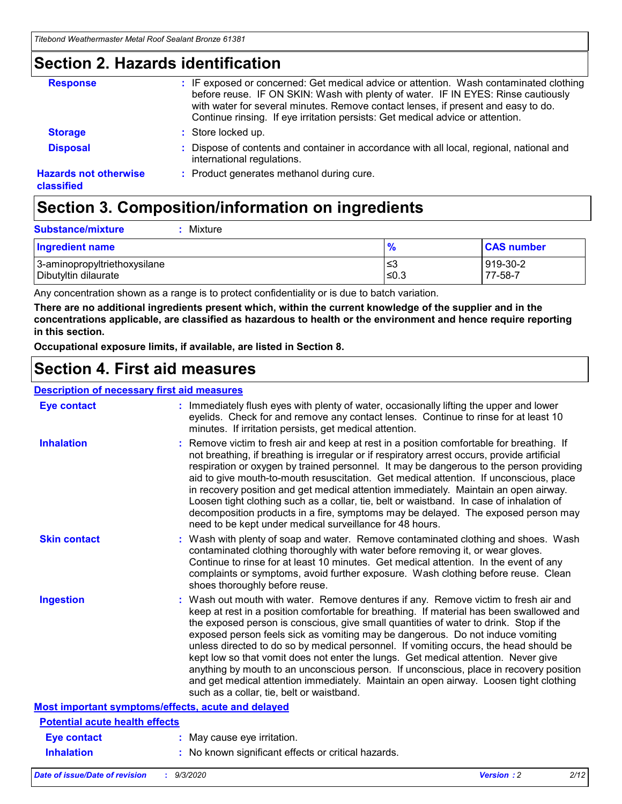### **Section 2. Hazards identification**

| <b>Response</b>                            | : IF exposed or concerned: Get medical advice or attention. Wash contaminated clothing<br>before reuse. IF ON SKIN: Wash with plenty of water. IF IN EYES: Rinse cautiously<br>with water for several minutes. Remove contact lenses, if present and easy to do.<br>Continue rinsing. If eye irritation persists: Get medical advice or attention. |
|--------------------------------------------|----------------------------------------------------------------------------------------------------------------------------------------------------------------------------------------------------------------------------------------------------------------------------------------------------------------------------------------------------|
| <b>Storage</b>                             | : Store locked up.                                                                                                                                                                                                                                                                                                                                 |
| <b>Disposal</b>                            | : Dispose of contents and container in accordance with all local, regional, national and<br>international regulations.                                                                                                                                                                                                                             |
| <b>Hazards not otherwise</b><br>classified | : Product generates methanol during cure.                                                                                                                                                                                                                                                                                                          |

## **Section 3. Composition/information on ingredients**

| <b>Substance/mixture</b> |  | : Mixture |
|--------------------------|--|-----------|
|--------------------------|--|-----------|

| <b>Ingredient name</b>       | $\frac{9}{6}$ | <b>CAS number</b> |
|------------------------------|---------------|-------------------|
| 3-aminopropyltriethoxysilane | ≤3            | 919-30-2          |
| Dibutyltin dilaurate         | ∣≤0.3         | 77-58-7           |

Any concentration shown as a range is to protect confidentiality or is due to batch variation.

**There are no additional ingredients present which, within the current knowledge of the supplier and in the concentrations applicable, are classified as hazardous to health or the environment and hence require reporting in this section.**

**Occupational exposure limits, if available, are listed in Section 8.**

### **Section 4. First aid measures**

| <b>Description of necessary first aid measures</b> |                                                                                                                                                                                                                                                                                                                                                                                                                                                                                                                                                                                                                                                                                                                                                                           |
|----------------------------------------------------|---------------------------------------------------------------------------------------------------------------------------------------------------------------------------------------------------------------------------------------------------------------------------------------------------------------------------------------------------------------------------------------------------------------------------------------------------------------------------------------------------------------------------------------------------------------------------------------------------------------------------------------------------------------------------------------------------------------------------------------------------------------------------|
| <b>Eye contact</b>                                 | : Immediately flush eyes with plenty of water, occasionally lifting the upper and lower<br>eyelids. Check for and remove any contact lenses. Continue to rinse for at least 10<br>minutes. If irritation persists, get medical attention.                                                                                                                                                                                                                                                                                                                                                                                                                                                                                                                                 |
| <b>Inhalation</b>                                  | : Remove victim to fresh air and keep at rest in a position comfortable for breathing. If<br>not breathing, if breathing is irregular or if respiratory arrest occurs, provide artificial<br>respiration or oxygen by trained personnel. It may be dangerous to the person providing<br>aid to give mouth-to-mouth resuscitation. Get medical attention. If unconscious, place<br>in recovery position and get medical attention immediately. Maintain an open airway.<br>Loosen tight clothing such as a collar, tie, belt or waistband. In case of inhalation of<br>decomposition products in a fire, symptoms may be delayed. The exposed person may<br>need to be kept under medical surveillance for 48 hours.                                                       |
| <b>Skin contact</b>                                | : Wash with plenty of soap and water. Remove contaminated clothing and shoes. Wash<br>contaminated clothing thoroughly with water before removing it, or wear gloves.<br>Continue to rinse for at least 10 minutes. Get medical attention. In the event of any<br>complaints or symptoms, avoid further exposure. Wash clothing before reuse. Clean<br>shoes thoroughly before reuse.                                                                                                                                                                                                                                                                                                                                                                                     |
| <b>Ingestion</b>                                   | : Wash out mouth with water. Remove dentures if any. Remove victim to fresh air and<br>keep at rest in a position comfortable for breathing. If material has been swallowed and<br>the exposed person is conscious, give small quantities of water to drink. Stop if the<br>exposed person feels sick as vomiting may be dangerous. Do not induce vomiting<br>unless directed to do so by medical personnel. If vomiting occurs, the head should be<br>kept low so that vomit does not enter the lungs. Get medical attention. Never give<br>anything by mouth to an unconscious person. If unconscious, place in recovery position<br>and get medical attention immediately. Maintain an open airway. Loosen tight clothing<br>such as a collar, tie, belt or waistband. |
| Most important symptoms/effects, acute and delayed |                                                                                                                                                                                                                                                                                                                                                                                                                                                                                                                                                                                                                                                                                                                                                                           |
| <b>Potential acute health effects</b>              |                                                                                                                                                                                                                                                                                                                                                                                                                                                                                                                                                                                                                                                                                                                                                                           |
| <b>Eye contact</b>                                 | : May cause eye irritation.                                                                                                                                                                                                                                                                                                                                                                                                                                                                                                                                                                                                                                                                                                                                               |
| <b>Inhalation</b>                                  | : No known significant effects or critical hazards.                                                                                                                                                                                                                                                                                                                                                                                                                                                                                                                                                                                                                                                                                                                       |
|                                                    |                                                                                                                                                                                                                                                                                                                                                                                                                                                                                                                                                                                                                                                                                                                                                                           |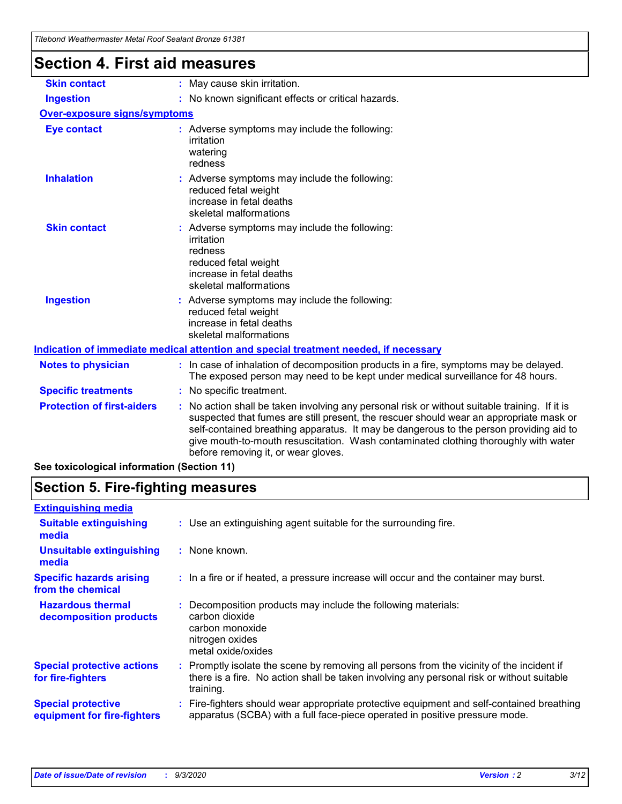| Titebong weathermaster Metal Roof Sealant Bronze 61381 |                                                                                                                                                                                                                                                                                                                                                                                                                 |
|--------------------------------------------------------|-----------------------------------------------------------------------------------------------------------------------------------------------------------------------------------------------------------------------------------------------------------------------------------------------------------------------------------------------------------------------------------------------------------------|
| <b>Section 4. First aid measures</b>                   |                                                                                                                                                                                                                                                                                                                                                                                                                 |
| <b>Skin contact</b>                                    | : May cause skin irritation.                                                                                                                                                                                                                                                                                                                                                                                    |
| <b>Ingestion</b>                                       | : No known significant effects or critical hazards.                                                                                                                                                                                                                                                                                                                                                             |
| <b>Over-exposure signs/symptoms</b>                    |                                                                                                                                                                                                                                                                                                                                                                                                                 |
| <b>Eye contact</b>                                     | : Adverse symptoms may include the following:<br>irritation<br>watering<br>redness                                                                                                                                                                                                                                                                                                                              |
| <b>Inhalation</b>                                      | : Adverse symptoms may include the following:<br>reduced fetal weight<br>increase in fetal deaths<br>skeletal malformations                                                                                                                                                                                                                                                                                     |
| <b>Skin contact</b>                                    | : Adverse symptoms may include the following:<br>irritation<br>redness<br>reduced fetal weight<br>increase in fetal deaths<br>skeletal malformations                                                                                                                                                                                                                                                            |
| <b>Ingestion</b>                                       | : Adverse symptoms may include the following:<br>reduced fetal weight<br>increase in fetal deaths<br>skeletal malformations                                                                                                                                                                                                                                                                                     |
|                                                        | Indication of immediate medical attention and special treatment needed, if necessary                                                                                                                                                                                                                                                                                                                            |
| <b>Notes to physician</b>                              | : In case of inhalation of decomposition products in a fire, symptoms may be delayed.<br>The exposed person may need to be kept under medical surveillance for 48 hours.                                                                                                                                                                                                                                        |
| <b>Specific treatments</b>                             | : No specific treatment.                                                                                                                                                                                                                                                                                                                                                                                        |
| <b>Protection of first-aiders</b>                      | : No action shall be taken involving any personal risk or without suitable training. If it is<br>suspected that fumes are still present, the rescuer should wear an appropriate mask or<br>self-contained breathing apparatus. It may be dangerous to the person providing aid to<br>give mouth-to-mouth resuscitation. Wash contaminated clothing thoroughly with water<br>before removing it, or wear gloves. |
| See toxicological information (Section 11)             |                                                                                                                                                                                                                                                                                                                                                                                                                 |

## **Section 5. Fire-fighting measures**

| <b>Extinguishing media</b>                               |                                                                                                                                                                                                     |  |
|----------------------------------------------------------|-----------------------------------------------------------------------------------------------------------------------------------------------------------------------------------------------------|--|
| <b>Suitable extinguishing</b><br>media                   | : Use an extinguishing agent suitable for the surrounding fire.                                                                                                                                     |  |
| <b>Unsuitable extinguishing</b><br>media                 | : None known.                                                                                                                                                                                       |  |
| <b>Specific hazards arising</b><br>from the chemical     | : In a fire or if heated, a pressure increase will occur and the container may burst.                                                                                                               |  |
| <b>Hazardous thermal</b><br>decomposition products       | : Decomposition products may include the following materials:<br>carbon dioxide<br>carbon monoxide<br>nitrogen oxides<br>metal oxide/oxides                                                         |  |
| <b>Special protective actions</b><br>for fire-fighters   | : Promptly isolate the scene by removing all persons from the vicinity of the incident if<br>there is a fire. No action shall be taken involving any personal risk or without suitable<br>training. |  |
| <b>Special protective</b><br>equipment for fire-fighters | Fire-fighters should wear appropriate protective equipment and self-contained breathing<br>apparatus (SCBA) with a full face-piece operated in positive pressure mode.                              |  |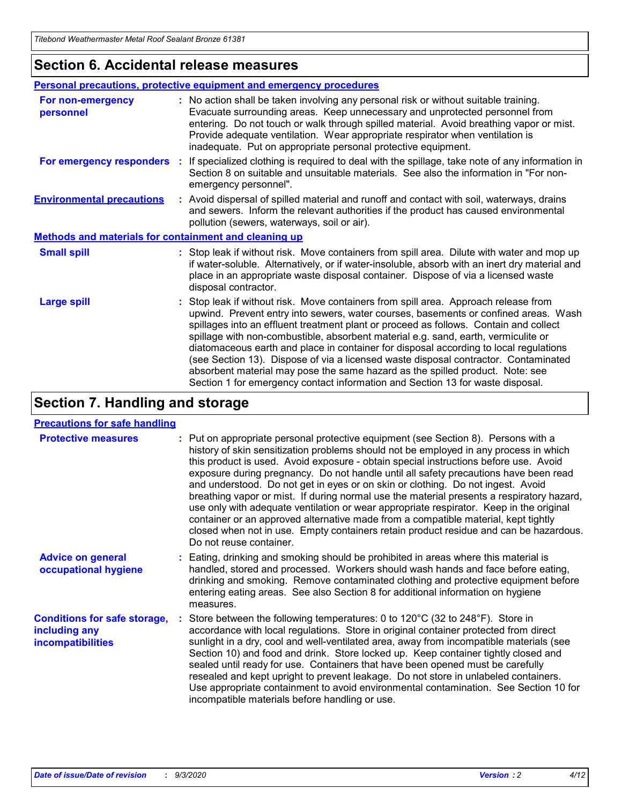### **Section 6. Accidental release measures**

|                                                              | <b>Personal precautions, protective equipment and emergency procedures</b>                                                                                                                                                                                                                                                                                                                                                                                                                                                                                                                                                                                                                                   |  |  |  |
|--------------------------------------------------------------|--------------------------------------------------------------------------------------------------------------------------------------------------------------------------------------------------------------------------------------------------------------------------------------------------------------------------------------------------------------------------------------------------------------------------------------------------------------------------------------------------------------------------------------------------------------------------------------------------------------------------------------------------------------------------------------------------------------|--|--|--|
| For non-emergency<br>personnel                               | : No action shall be taken involving any personal risk or without suitable training.<br>Evacuate surrounding areas. Keep unnecessary and unprotected personnel from<br>entering. Do not touch or walk through spilled material. Avoid breathing vapor or mist.<br>Provide adequate ventilation. Wear appropriate respirator when ventilation is<br>inadequate. Put on appropriate personal protective equipment.                                                                                                                                                                                                                                                                                             |  |  |  |
| For emergency responders                                     | : If specialized clothing is required to deal with the spillage, take note of any information in<br>Section 8 on suitable and unsuitable materials. See also the information in "For non-<br>emergency personnel".                                                                                                                                                                                                                                                                                                                                                                                                                                                                                           |  |  |  |
| <b>Environmental precautions</b>                             | : Avoid dispersal of spilled material and runoff and contact with soil, waterways, drains<br>and sewers. Inform the relevant authorities if the product has caused environmental<br>pollution (sewers, waterways, soil or air).                                                                                                                                                                                                                                                                                                                                                                                                                                                                              |  |  |  |
| <b>Methods and materials for containment and cleaning up</b> |                                                                                                                                                                                                                                                                                                                                                                                                                                                                                                                                                                                                                                                                                                              |  |  |  |
| <b>Small spill</b>                                           | : Stop leak if without risk. Move containers from spill area. Dilute with water and mop up<br>if water-soluble. Alternatively, or if water-insoluble, absorb with an inert dry material and<br>place in an appropriate waste disposal container. Dispose of via a licensed waste<br>disposal contractor.                                                                                                                                                                                                                                                                                                                                                                                                     |  |  |  |
| <b>Large spill</b>                                           | : Stop leak if without risk. Move containers from spill area. Approach release from<br>upwind. Prevent entry into sewers, water courses, basements or confined areas. Wash<br>spillages into an effluent treatment plant or proceed as follows. Contain and collect<br>spillage with non-combustible, absorbent material e.g. sand, earth, vermiculite or<br>diatomaceous earth and place in container for disposal according to local regulations<br>(see Section 13). Dispose of via a licensed waste disposal contractor. Contaminated<br>absorbent material may pose the same hazard as the spilled product. Note: see<br>Section 1 for emergency contact information and Section 13 for waste disposal. |  |  |  |

### **Section 7. Handling and storage**

#### **Precautions for safe handling**

| <b>Protective measures</b>                                                       | : Put on appropriate personal protective equipment (see Section 8). Persons with a<br>history of skin sensitization problems should not be employed in any process in which<br>this product is used. Avoid exposure - obtain special instructions before use. Avoid<br>exposure during pregnancy. Do not handle until all safety precautions have been read<br>and understood. Do not get in eyes or on skin or clothing. Do not ingest. Avoid<br>breathing vapor or mist. If during normal use the material presents a respiratory hazard,<br>use only with adequate ventilation or wear appropriate respirator. Keep in the original<br>container or an approved alternative made from a compatible material, kept tightly<br>closed when not in use. Empty containers retain product residue and can be hazardous.<br>Do not reuse container. |
|----------------------------------------------------------------------------------|--------------------------------------------------------------------------------------------------------------------------------------------------------------------------------------------------------------------------------------------------------------------------------------------------------------------------------------------------------------------------------------------------------------------------------------------------------------------------------------------------------------------------------------------------------------------------------------------------------------------------------------------------------------------------------------------------------------------------------------------------------------------------------------------------------------------------------------------------|
| <b>Advice on general</b><br>occupational hygiene                                 | : Eating, drinking and smoking should be prohibited in areas where this material is<br>handled, stored and processed. Workers should wash hands and face before eating,<br>drinking and smoking. Remove contaminated clothing and protective equipment before<br>entering eating areas. See also Section 8 for additional information on hygiene<br>measures.                                                                                                                                                                                                                                                                                                                                                                                                                                                                                    |
| <b>Conditions for safe storage,</b><br>including any<br><i>incompatibilities</i> | Store between the following temperatures: 0 to 120°C (32 to 248°F). Store in<br>accordance with local regulations. Store in original container protected from direct<br>sunlight in a dry, cool and well-ventilated area, away from incompatible materials (see<br>Section 10) and food and drink. Store locked up. Keep container tightly closed and<br>sealed until ready for use. Containers that have been opened must be carefully<br>resealed and kept upright to prevent leakage. Do not store in unlabeled containers.<br>Use appropriate containment to avoid environmental contamination. See Section 10 for<br>incompatible materials before handling or use.                                                                                                                                                                         |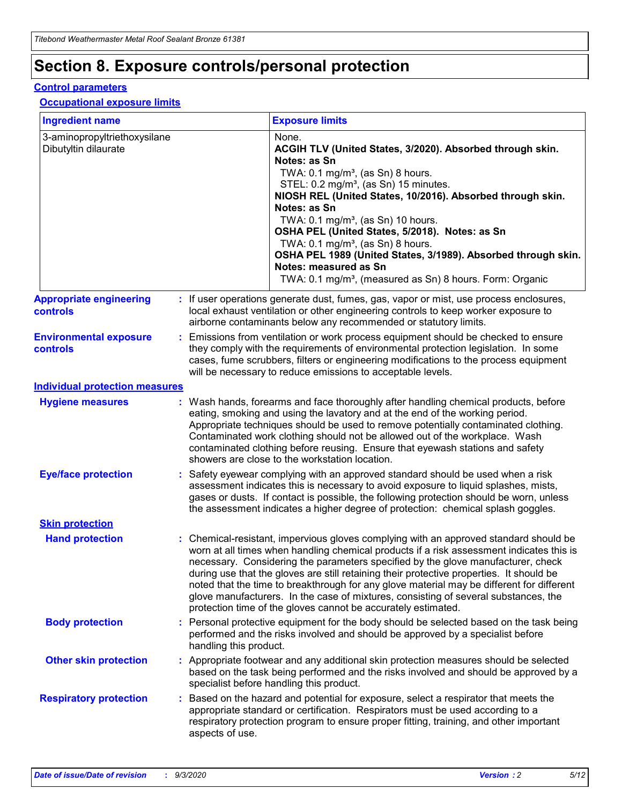## **Section 8. Exposure controls/personal protection**

#### **Control parameters**

#### **Occupational exposure limits**

| <b>Ingredient name</b>                               |    |                                                                                                                                                                                                                                                                                                                               | <b>Exposure limits</b>                                                                                                                                                                                                                                                                                                                                                                                                                                                                                                                                                                                                 |  |
|------------------------------------------------------|----|-------------------------------------------------------------------------------------------------------------------------------------------------------------------------------------------------------------------------------------------------------------------------------------------------------------------------------|------------------------------------------------------------------------------------------------------------------------------------------------------------------------------------------------------------------------------------------------------------------------------------------------------------------------------------------------------------------------------------------------------------------------------------------------------------------------------------------------------------------------------------------------------------------------------------------------------------------------|--|
| 3-aminopropyltriethoxysilane<br>Dibutyltin dilaurate |    |                                                                                                                                                                                                                                                                                                                               | None.<br>ACGIH TLV (United States, 3/2020). Absorbed through skin.<br>Notes: as Sn<br>TWA: $0.1 \text{ mg/m}^3$ , (as Sn) 8 hours.<br>STEL: 0.2 mg/m <sup>3</sup> , (as Sn) 15 minutes.<br>NIOSH REL (United States, 10/2016). Absorbed through skin.<br>Notes: as Sn<br>TWA: 0.1 mg/m <sup>3</sup> , (as Sn) 10 hours.<br>OSHA PEL (United States, 5/2018). Notes: as Sn<br>TWA: 0.1 mg/m <sup>3</sup> , (as Sn) 8 hours.<br>OSHA PEL 1989 (United States, 3/1989). Absorbed through skin.<br>Notes: measured as Sn<br>TWA: 0.1 mg/m <sup>3</sup> , (measured as Sn) 8 hours. Form: Organic                           |  |
| <b>Appropriate engineering</b><br>controls           |    |                                                                                                                                                                                                                                                                                                                               | : If user operations generate dust, fumes, gas, vapor or mist, use process enclosures,<br>local exhaust ventilation or other engineering controls to keep worker exposure to<br>airborne contaminants below any recommended or statutory limits.                                                                                                                                                                                                                                                                                                                                                                       |  |
| <b>Environmental exposure</b><br>controls            |    | Emissions from ventilation or work process equipment should be checked to ensure<br>they comply with the requirements of environmental protection legislation. In some<br>cases, fume scrubbers, filters or engineering modifications to the process equipment<br>will be necessary to reduce emissions to acceptable levels. |                                                                                                                                                                                                                                                                                                                                                                                                                                                                                                                                                                                                                        |  |
| <b>Individual protection measures</b>                |    |                                                                                                                                                                                                                                                                                                                               |                                                                                                                                                                                                                                                                                                                                                                                                                                                                                                                                                                                                                        |  |
| <b>Hygiene measures</b>                              |    |                                                                                                                                                                                                                                                                                                                               | : Wash hands, forearms and face thoroughly after handling chemical products, before<br>eating, smoking and using the lavatory and at the end of the working period.<br>Appropriate techniques should be used to remove potentially contaminated clothing.<br>Contaminated work clothing should not be allowed out of the workplace. Wash<br>contaminated clothing before reusing. Ensure that eyewash stations and safety<br>showers are close to the workstation location.                                                                                                                                            |  |
| <b>Eye/face protection</b>                           |    |                                                                                                                                                                                                                                                                                                                               | Safety eyewear complying with an approved standard should be used when a risk<br>assessment indicates this is necessary to avoid exposure to liquid splashes, mists,<br>gases or dusts. If contact is possible, the following protection should be worn, unless<br>the assessment indicates a higher degree of protection: chemical splash goggles.                                                                                                                                                                                                                                                                    |  |
| <b>Skin protection</b>                               |    |                                                                                                                                                                                                                                                                                                                               |                                                                                                                                                                                                                                                                                                                                                                                                                                                                                                                                                                                                                        |  |
| <b>Hand protection</b>                               |    |                                                                                                                                                                                                                                                                                                                               | : Chemical-resistant, impervious gloves complying with an approved standard should be<br>worn at all times when handling chemical products if a risk assessment indicates this is<br>necessary. Considering the parameters specified by the glove manufacturer, check<br>during use that the gloves are still retaining their protective properties. It should be<br>noted that the time to breakthrough for any glove material may be different for different<br>glove manufacturers. In the case of mixtures, consisting of several substances, the<br>protection time of the gloves cannot be accurately estimated. |  |
| <b>Body protection</b>                               |    | handling this product.                                                                                                                                                                                                                                                                                                        | Personal protective equipment for the body should be selected based on the task being<br>performed and the risks involved and should be approved by a specialist before                                                                                                                                                                                                                                                                                                                                                                                                                                                |  |
| <b>Other skin protection</b>                         |    |                                                                                                                                                                                                                                                                                                                               | : Appropriate footwear and any additional skin protection measures should be selected<br>based on the task being performed and the risks involved and should be approved by a<br>specialist before handling this product.                                                                                                                                                                                                                                                                                                                                                                                              |  |
| <b>Respiratory protection</b>                        | ÷. | aspects of use.                                                                                                                                                                                                                                                                                                               | Based on the hazard and potential for exposure, select a respirator that meets the<br>appropriate standard or certification. Respirators must be used according to a<br>respiratory protection program to ensure proper fitting, training, and other important                                                                                                                                                                                                                                                                                                                                                         |  |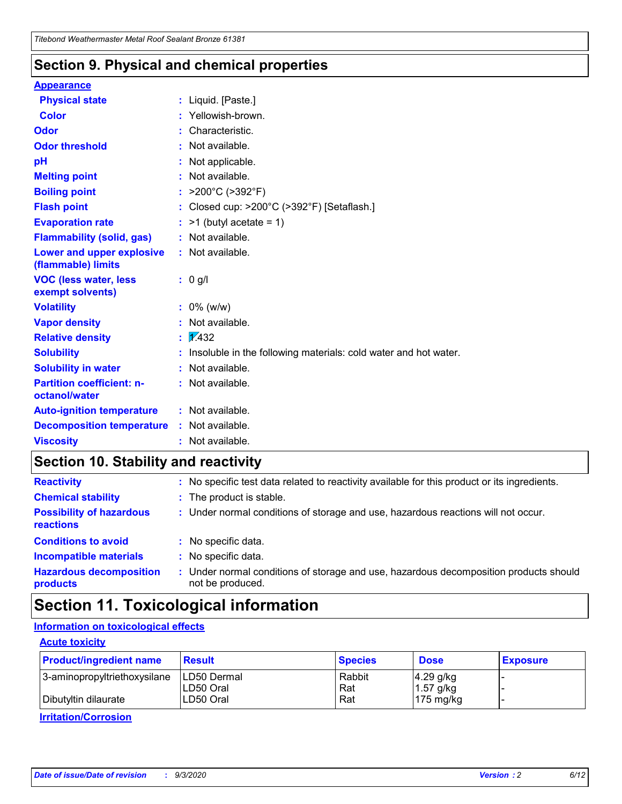### **Section 9. Physical and chemical properties**

#### **Appearance**

| <b>Physical state</b>                             | : Liquid. [Paste.]                                              |
|---------------------------------------------------|-----------------------------------------------------------------|
| Color                                             | Yellowish-brown.                                                |
| Odor                                              | : Characteristic.                                               |
| <b>Odor threshold</b>                             | $:$ Not available.                                              |
| рH                                                | : Not applicable.                                               |
| <b>Melting point</b>                              | : Not available.                                                |
| <b>Boiling point</b>                              | : $>200^{\circ}$ C ( $>392^{\circ}$ F)                          |
| <b>Flash point</b>                                | : Closed cup: >200°C (>392°F) [Setaflash.]                      |
| <b>Evaporation rate</b>                           | $:$ >1 (butyl acetate = 1)                                      |
| <b>Flammability (solid, gas)</b>                  | : Not available.                                                |
| Lower and upper explosive<br>(flammable) limits   | : Not available.                                                |
| <b>VOC (less water, less</b><br>exempt solvents)  | : 0 g/l                                                         |
| <b>Volatility</b>                                 | $: 0\%$ (w/w)                                                   |
| <b>Vapor density</b>                              | : Not available.                                                |
| <b>Relative density</b>                           | $\sqrt{x}$ 432                                                  |
| <b>Solubility</b>                                 | Insoluble in the following materials: cold water and hot water. |
| <b>Solubility in water</b>                        | : Not available.                                                |
| <b>Partition coefficient: n-</b><br>octanol/water | : Not available.                                                |
| <b>Auto-ignition temperature</b>                  | : Not available.                                                |
| <b>Decomposition temperature</b>                  | : Not available.                                                |
| <b>Viscosity</b>                                  | $:$ Not available.                                              |

### **Section 10. Stability and reactivity**

| <b>Reactivity</b>                            |    | : No specific test data related to reactivity available for this product or its ingredients.            |
|----------------------------------------------|----|---------------------------------------------------------------------------------------------------------|
| <b>Chemical stability</b>                    |    | : The product is stable.                                                                                |
| <b>Possibility of hazardous</b><br>reactions |    | : Under normal conditions of storage and use, hazardous reactions will not occur.                       |
| <b>Conditions to avoid</b>                   |    | : No specific data.                                                                                     |
| <b>Incompatible materials</b>                | ٠. | No specific data.                                                                                       |
| <b>Hazardous decomposition</b><br>products   | ÷. | Under normal conditions of storage and use, hazardous decomposition products should<br>not be produced. |

### **Section 11. Toxicological information**

#### **Information on toxicological effects**

#### **Acute toxicity**

| <b>Product/ingredient name</b> | <b>Result</b>           | <b>Species</b> | <b>Dose</b>                | <b>Exposure</b> |
|--------------------------------|-------------------------|----------------|----------------------------|-----------------|
| 3-aminopropyltriethoxysilane   | <b>ILD50 Dermal</b>     | Rabbit         | 4.29 g/kg                  |                 |
| Dibutyltin dilaurate           | ILD50 Oral<br>LD50 Oral | Rat<br>Rat     | $1.57$ g/kg<br>175 $mg/kg$ |                 |
|                                |                         |                |                            |                 |

**Irritation/Corrosion**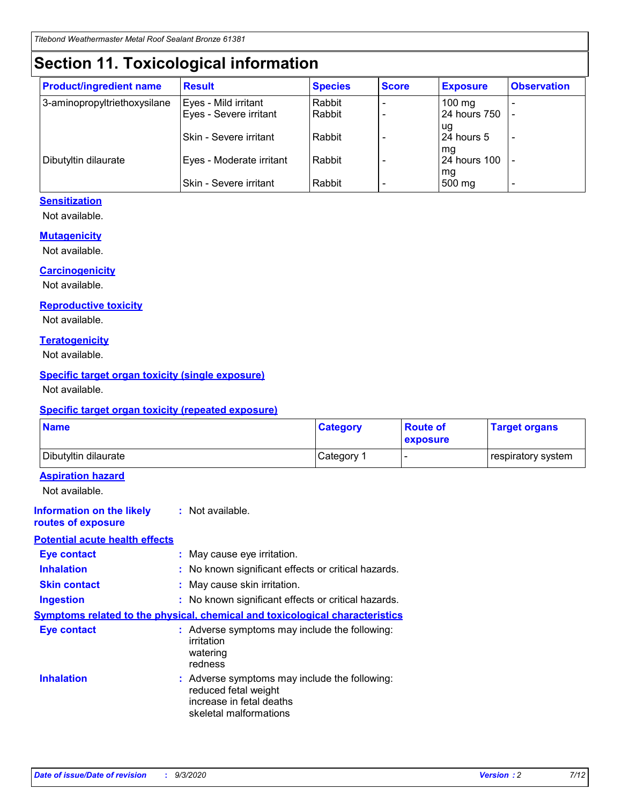## **Section 11. Toxicological information**

| <b>Product/ingredient name</b> | <b>Result</b>            | <b>Species</b> | <b>Score</b> | <b>Exposure</b>           | <b>Observation</b> |
|--------------------------------|--------------------------|----------------|--------------|---------------------------|--------------------|
| 3-aminopropyltriethoxysilane   | Eyes - Mild irritant     | Rabbit         |              | $100$ mg                  |                    |
|                                | Eyes - Severe irritant   | Rabbit         |              | 24 hours 750              |                    |
|                                |                          |                |              | ug                        |                    |
|                                | Skin - Severe irritant   | Rabbit         |              | 24 hours 5                | -                  |
| Dibutyltin dilaurate           | Eyes - Moderate irritant | Rabbit         |              | mg<br><b>24 hours 100</b> |                    |
|                                |                          |                |              | mg                        |                    |
|                                | Skin - Severe irritant   | Rabbit         |              | 500 mg                    | -                  |

#### **Sensitization**

Not available.

#### **Mutagenicity**

Not available.

#### **Carcinogenicity**

Not available.

#### **Reproductive toxicity**

Not available.

#### **Teratogenicity**

Not available.

#### **Specific target organ toxicity (single exposure)**

Not available.

#### **Specific target organ toxicity (repeated exposure)**

| <b>Name</b>                                                                  |                                                                            | <b>Category</b>                                     | <b>Route of</b><br>exposure  | <b>Target organs</b> |  |  |
|------------------------------------------------------------------------------|----------------------------------------------------------------------------|-----------------------------------------------------|------------------------------|----------------------|--|--|
| Dibutyltin dilaurate                                                         |                                                                            | Category 1                                          | $\qquad \qquad \blacksquare$ | respiratory system   |  |  |
| <b>Aspiration hazard</b><br>Not available.                                   |                                                                            |                                                     |                              |                      |  |  |
| <b>Information on the likely</b><br>routes of exposure                       | : Not available.                                                           |                                                     |                              |                      |  |  |
| <b>Potential acute health effects</b>                                        |                                                                            |                                                     |                              |                      |  |  |
| Eye contact                                                                  | : May cause eye irritation.                                                |                                                     |                              |                      |  |  |
| <b>Inhalation</b>                                                            |                                                                            | : No known significant effects or critical hazards. |                              |                      |  |  |
| <b>Skin contact</b>                                                          |                                                                            | : May cause skin irritation.                        |                              |                      |  |  |
| <b>Ingestion</b>                                                             |                                                                            | : No known significant effects or critical hazards. |                              |                      |  |  |
| Symptoms related to the physical, chemical and toxicological characteristics |                                                                            |                                                     |                              |                      |  |  |
| <b>Eye contact</b>                                                           | irritation<br>watering<br>redness                                          | : Adverse symptoms may include the following:       |                              |                      |  |  |
| <b>Inhalation</b>                                                            | reduced fetal weight<br>increase in fetal deaths<br>skeletal malformations | : Adverse symptoms may include the following:       |                              |                      |  |  |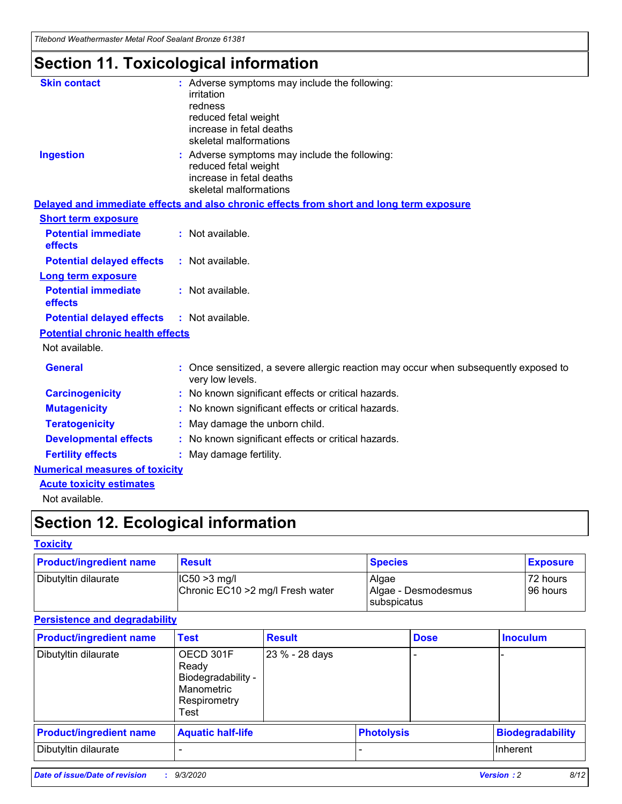*Titebond Weathermaster Metal Roof Sealant Bronze 61381*

## **Section 11. Toxicological information**

| <b>Skin contact</b>                     | : Adverse symptoms may include the following:<br>irritation                                            |
|-----------------------------------------|--------------------------------------------------------------------------------------------------------|
|                                         | redness                                                                                                |
|                                         | reduced fetal weight                                                                                   |
|                                         | increase in fetal deaths                                                                               |
|                                         | skeletal malformations                                                                                 |
| <b>Ingestion</b>                        | : Adverse symptoms may include the following:<br>reduced fetal weight                                  |
|                                         | increase in fetal deaths                                                                               |
|                                         | skeletal malformations                                                                                 |
|                                         | Delayed and immediate effects and also chronic effects from short and long term exposure               |
| <b>Short term exposure</b>              |                                                                                                        |
| <b>Potential immediate</b><br>effects   | : Not available.                                                                                       |
| <b>Potential delayed effects</b>        | : Not available.                                                                                       |
| Long term exposure                      |                                                                                                        |
| <b>Potential immediate</b><br>effects   | : Not available.                                                                                       |
| <b>Potential delayed effects</b>        | : Not available.                                                                                       |
| <b>Potential chronic health effects</b> |                                                                                                        |
| Not available.                          |                                                                                                        |
| <b>General</b>                          | Once sensitized, a severe allergic reaction may occur when subsequently exposed to<br>very low levels. |
| <b>Carcinogenicity</b>                  | No known significant effects or critical hazards.                                                      |
| <b>Mutagenicity</b>                     | : No known significant effects or critical hazards.                                                    |
| <b>Teratogenicity</b>                   | May damage the unborn child.                                                                           |
| <b>Developmental effects</b>            | : No known significant effects or critical hazards.                                                    |
| <b>Fertility effects</b>                | : May damage fertility.                                                                                |
| <b>Numerical measures of toxicity</b>   |                                                                                                        |
| <b>Acute toxicity estimates</b>         |                                                                                                        |
| Not ovoilable                           |                                                                                                        |

Not available.

## **Section 12. Ecological information**

#### **Toxicity**

| <b>Product/ingredient name</b> | <b>Result</b>                                       | <b>Species</b>               | <b>Exposure</b>       |
|--------------------------------|-----------------------------------------------------|------------------------------|-----------------------|
| Dibutyltin dilaurate           | $ CC50>3$ mg/l<br>Chronic EC10 > 2 mg/l Fresh water | Algae<br>Algae - Desmodesmus | 72 hours<br>196 hours |
|                                |                                                     | <b>I</b> subspicatus         |                       |

#### **Persistence and degradability**

| <b>Product/ingredient name</b> | <b>Test</b>                                                                    | <b>Result</b>  |                   | <b>Dose</b> | <b>Inoculum</b>         |
|--------------------------------|--------------------------------------------------------------------------------|----------------|-------------------|-------------|-------------------------|
| Dibutyltin dilaurate           | OECD 301F<br>Ready<br>Biodegradability -<br>Manometric<br>Respirometry<br>Test | 23 % - 28 days |                   |             |                         |
| <b>Product/ingredient name</b> | <b>Aquatic half-life</b>                                                       |                | <b>Photolysis</b> |             | <b>Biodegradability</b> |
| Dibutyltin dilaurate           |                                                                                |                |                   |             | <b>Inherent</b>         |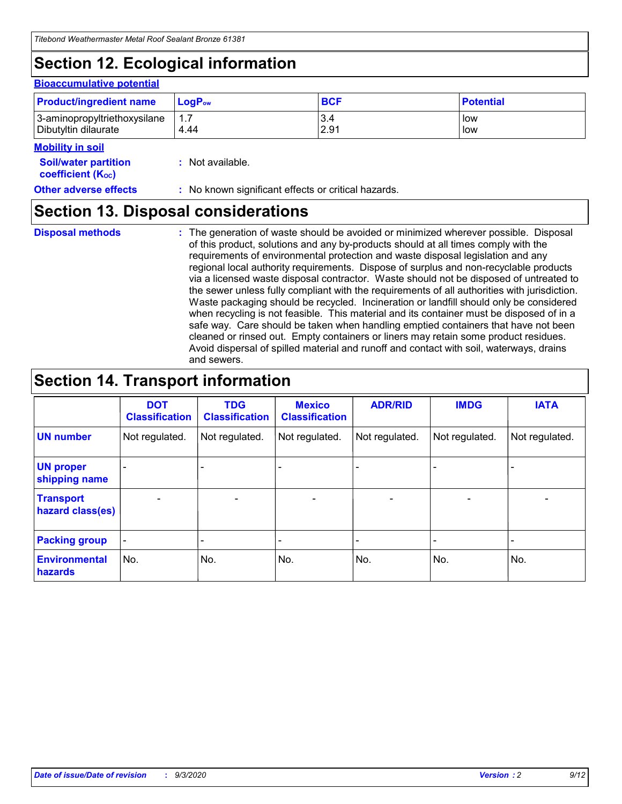## **Section 12. Ecological information**

#### **Bioaccumulative potential**

| <b>Product/ingredient name</b> | $\mathsf{LogP}_\mathsf{ow}$ | <b>BCF</b> | <b>Potential</b> |
|--------------------------------|-----------------------------|------------|------------------|
| 3-aminopropyltriethoxysilane   | 1.7                         | 3.4        | low              |
| Dibutyltin dilaurate           | 4.44                        | 2.91       | low              |

#### **Mobility in soil**

| MUNIHIY III JUH                                               |                                                     |
|---------------------------------------------------------------|-----------------------------------------------------|
| <b>Soil/water partition</b><br>coefficient (K <sub>oc</sub> ) | : Not available.                                    |
| <b>Other adverse effects</b>                                  | : No known significant effects or critical hazards. |

### **Section 13. Disposal considerations**

**Disposal methods :**

The generation of waste should be avoided or minimized wherever possible. Disposal of this product, solutions and any by-products should at all times comply with the requirements of environmental protection and waste disposal legislation and any regional local authority requirements. Dispose of surplus and non-recyclable products via a licensed waste disposal contractor. Waste should not be disposed of untreated to the sewer unless fully compliant with the requirements of all authorities with jurisdiction. Waste packaging should be recycled. Incineration or landfill should only be considered when recycling is not feasible. This material and its container must be disposed of in a safe way. Care should be taken when handling emptied containers that have not been cleaned or rinsed out. Empty containers or liners may retain some product residues. Avoid dispersal of spilled material and runoff and contact with soil, waterways, drains and sewers.

### **Section 14. Transport information**

|                                      | <b>DOT</b><br><b>Classification</b> | <b>TDG</b><br><b>Classification</b> | <b>Mexico</b><br><b>Classification</b> | <b>ADR/RID</b>           | <b>IMDG</b>              | <b>IATA</b>    |
|--------------------------------------|-------------------------------------|-------------------------------------|----------------------------------------|--------------------------|--------------------------|----------------|
| <b>UN number</b>                     | Not regulated.                      | Not regulated.                      | Not regulated.                         | Not regulated.           | Not regulated.           | Not regulated. |
| <b>UN proper</b><br>shipping name    |                                     |                                     |                                        |                          |                          |                |
| <b>Transport</b><br>hazard class(es) | $\blacksquare$                      | $\overline{\phantom{0}}$            | $\overline{\phantom{a}}$               | $\overline{\phantom{0}}$ | $\overline{\phantom{a}}$ | $\blacksquare$ |
| <b>Packing group</b>                 |                                     |                                     |                                        |                          |                          | -              |
| <b>Environmental</b><br>hazards      | No.                                 | No.                                 | No.                                    | No.                      | No.                      | No.            |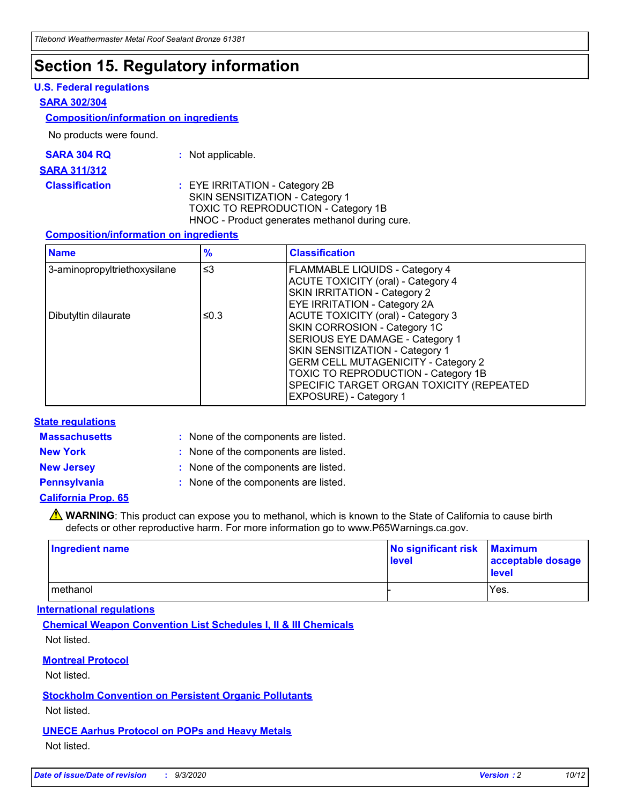### **Section 15. Regulatory information**

#### **U.S. Federal regulations**

#### **SARA 302/304**

#### **Composition/information on ingredients**

No products were found.

| SARA 304 RQ | Not applicable. |
|-------------|-----------------|
|-------------|-----------------|

#### **SARA 311/312**

**Classification :** EYE IRRITATION - Category 2B SKIN SENSITIZATION - Category 1 TOXIC TO REPRODUCTION - Category 1B HNOC - Product generates methanol during cure.

#### **Composition/information on ingredients**

| <b>Name</b>                  | $\frac{9}{6}$ | <b>Classification</b>                                                                                                                                                                                                                                                                                      |
|------------------------------|---------------|------------------------------------------------------------------------------------------------------------------------------------------------------------------------------------------------------------------------------------------------------------------------------------------------------------|
| 3-aminopropyltriethoxysilane | $\leq$ 3      | <b>FLAMMABLE LIQUIDS - Category 4</b><br><b>ACUTE TOXICITY (oral) - Category 4</b><br><b>SKIN IRRITATION - Category 2</b><br>EYE IRRITATION - Category 2A                                                                                                                                                  |
| Dibutyltin dilaurate         | ≤0.3          | <b>ACUTE TOXICITY (oral) - Category 3</b><br>SKIN CORROSION - Category 1C<br>SERIOUS EYE DAMAGE - Category 1<br>SKIN SENSITIZATION - Category 1<br><b>GERM CELL MUTAGENICITY - Category 2</b><br>TOXIC TO REPRODUCTION - Category 1B<br>SPECIFIC TARGET ORGAN TOXICITY (REPEATED<br>EXPOSURE) - Category 1 |

#### **State regulations**

**Massachusetts :**

: None of the components are listed.

**New York :** None of the components are listed. **New Jersey :** None of the components are listed.

**Pennsylvania :** None of the components are listed.

#### **California Prop. 65**

WARNING: This product can expose you to methanol, which is known to the State of California to cause birth defects or other reproductive harm. For more information go to www.P65Warnings.ca.gov.

| Ingredient name | No significant risk<br>level | <b>Maximum</b><br>acceptable dosage<br><b>level</b> |
|-----------------|------------------------------|-----------------------------------------------------|
| l methanol      |                              | Yes.                                                |

#### **International regulations**

**Chemical Weapon Convention List Schedules I, II & III Chemicals** Not listed.

#### **Montreal Protocol**

Not listed.

**Stockholm Convention on Persistent Organic Pollutants**

Not listed.

#### **UNECE Aarhus Protocol on POPs and Heavy Metals** Not listed.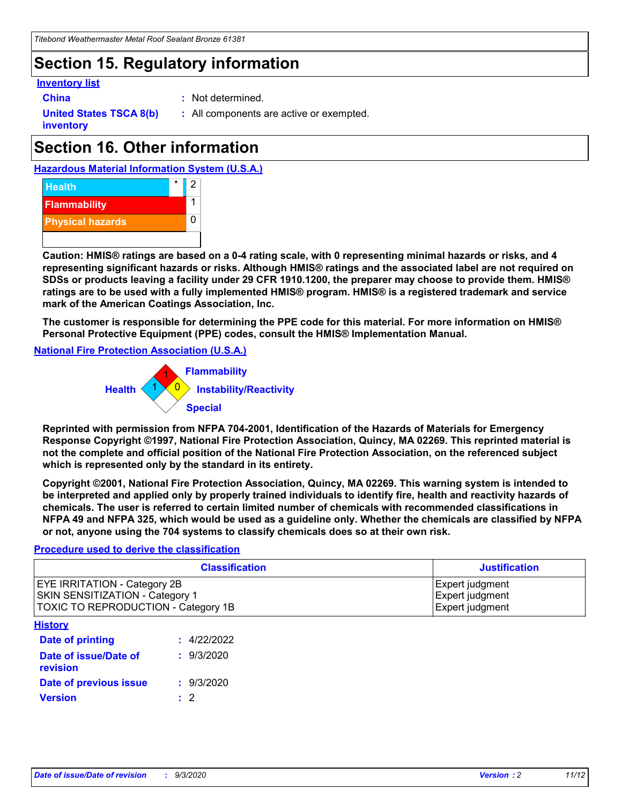### **Section 15. Regulatory information**

#### **Inventory list**

- 
- **China :** Not determined.

**United States TSCA 8(b) inventory**

**:** All components are active or exempted.

## **Section 16. Other information**





**Caution: HMIS® ratings are based on a 0-4 rating scale, with 0 representing minimal hazards or risks, and 4 representing significant hazards or risks. Although HMIS® ratings and the associated label are not required on SDSs or products leaving a facility under 29 CFR 1910.1200, the preparer may choose to provide them. HMIS® ratings are to be used with a fully implemented HMIS® program. HMIS® is a registered trademark and service mark of the American Coatings Association, Inc.**

**The customer is responsible for determining the PPE code for this material. For more information on HMIS® Personal Protective Equipment (PPE) codes, consult the HMIS® Implementation Manual.**

**National Fire Protection Association (U.S.A.)**



**Reprinted with permission from NFPA 704-2001, Identification of the Hazards of Materials for Emergency Response Copyright ©1997, National Fire Protection Association, Quincy, MA 02269. This reprinted material is not the complete and official position of the National Fire Protection Association, on the referenced subject which is represented only by the standard in its entirety.**

**Copyright ©2001, National Fire Protection Association, Quincy, MA 02269. This warning system is intended to be interpreted and applied only by properly trained individuals to identify fire, health and reactivity hazards of chemicals. The user is referred to certain limited number of chemicals with recommended classifications in NFPA 49 and NFPA 325, which would be used as a guideline only. Whether the chemicals are classified by NFPA or not, anyone using the 704 systems to classify chemicals does so at their own risk.**

#### **Procedure used to derive the classification**

| <b>Classification</b>                                                                                                | <b>Justification</b>                                  |
|----------------------------------------------------------------------------------------------------------------------|-------------------------------------------------------|
| <b>EYE IRRITATION - Category 2B</b><br><b>SKIN SENSITIZATION - Category 1</b><br>TOXIC TO REPRODUCTION - Category 1B | Expert judgment<br>Expert judgment<br>Expert judgment |
| <b>History</b>                                                                                                       |                                                       |

| .                                 |             |
|-----------------------------------|-------------|
| <b>Date of printing</b>           | : 4/22/2022 |
| Date of issue/Date of<br>revision | : 9/3/2020  |
| Date of previous issue            | : 9/3/2020  |
| <b>Version</b>                    | $\cdot$ 2   |
|                                   |             |